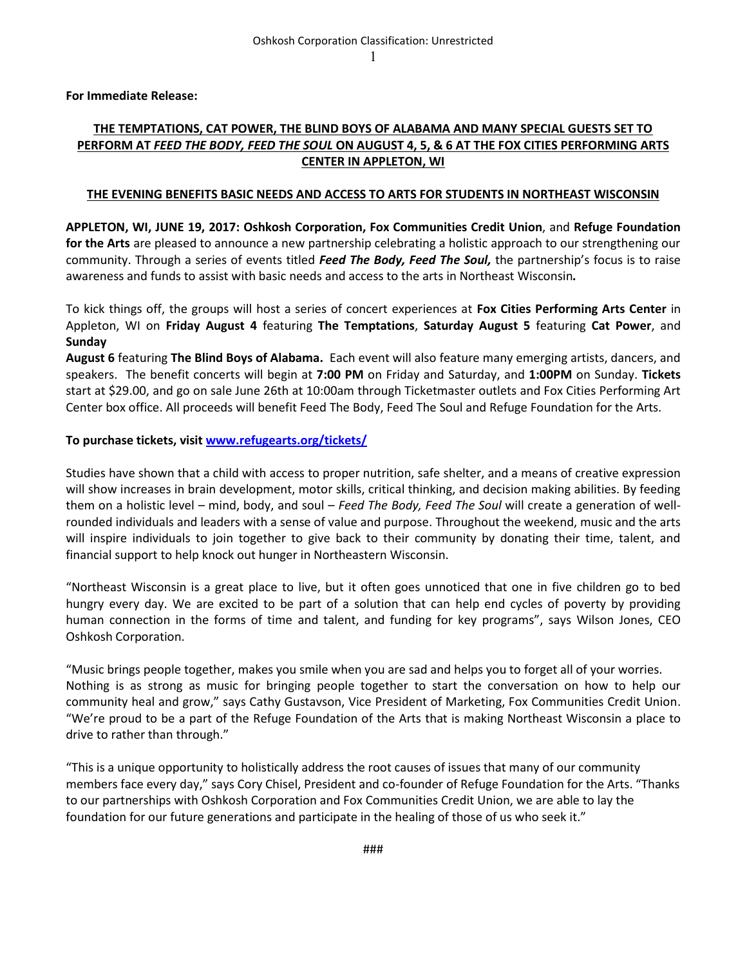**For Immediate Release:**

## **THE TEMPTATIONS, CAT POWER, THE BLIND BOYS OF ALABAMA AND MANY SPECIAL GUESTS SET TO PERFORM AT** *FEED THE BODY, FEED THE SOUL* **ON AUGUST 4, 5, & 6 AT THE FOX CITIES PERFORMING ARTS CENTER IN APPLETON, WI**

## **THE EVENING BENEFITS BASIC NEEDS AND ACCESS TO ARTS FOR STUDENTS IN NORTHEAST WISCONSIN**

**APPLETON, WI, JUNE 19, 2017: Oshkosh Corporation, Fox Communities Credit Union**, and **Refuge Foundation for the Arts** are pleased to announce a new partnership celebrating a holistic approach to our strengthening our community. Through a series of events titled *Feed The Body, Feed The Soul,* the partnership's focus is to raise awareness and funds to assist with basic needs and access to the arts in Northeast Wisconsin*.*

To kick things off, the groups will host a series of concert experiences at **Fox Cities Performing Arts Center** in Appleton, WI on **Friday August 4** featuring **The Temptations**, **Saturday August 5** featuring **Cat Power**, and **Sunday**

**August 6** featuring **The Blind Boys of Alabama.** Each event will also feature many emerging artists, dancers, and speakers.The benefit concerts will begin at **7:00 PM** on Friday and Saturday, and **1:00PM** on Sunday. **Tickets** start at \$29.00, and go on sale June 26th at 10:00am through Ticketmaster outlets and Fox Cities Performing Art Center box office. All proceeds will benefit Feed The Body, Feed The Soul and Refuge Foundation for the Arts.

## **To purchase tickets, visi[t www.refugearts.org/tickets/](http://www.refugearts.org/tickets/)**

Studies have shown that a child with access to proper nutrition, safe shelter, and a means of creative expression will show increases in brain development, motor skills, critical thinking, and decision making abilities. By feeding them on a holistic level – mind, body, and soul – *Feed The Body, Feed The Soul* will create a generation of wellrounded individuals and leaders with a sense of value and purpose. Throughout the weekend, music and the arts will inspire individuals to join together to give back to their community by donating their time, talent, and financial support to help knock out hunger in Northeastern Wisconsin.

"Northeast Wisconsin is a great place to live, but it often goes unnoticed that one in five children go to bed hungry every day. We are excited to be part of a solution that can help end cycles of poverty by providing human connection in the forms of time and talent, and funding for key programs", says Wilson Jones, CEO Oshkosh Corporation.

"Music brings people together, makes you smile when you are sad and helps you to forget all of your worries. Nothing is as strong as music for bringing people together to start the conversation on how to help our community heal and grow," says Cathy Gustavson, Vice President of Marketing, Fox Communities Credit Union. "We're proud to be a part of the Refuge Foundation of the Arts that is making Northeast Wisconsin a place to drive to rather than through."

"This is a unique opportunity to holistically address the root causes of issues that many of our community members face every day," says Cory Chisel, President and co-founder of Refuge Foundation for the Arts. "Thanks to our partnerships with Oshkosh Corporation and Fox Communities Credit Union, we are able to lay the foundation for our future generations and participate in the healing of those of us who seek it."